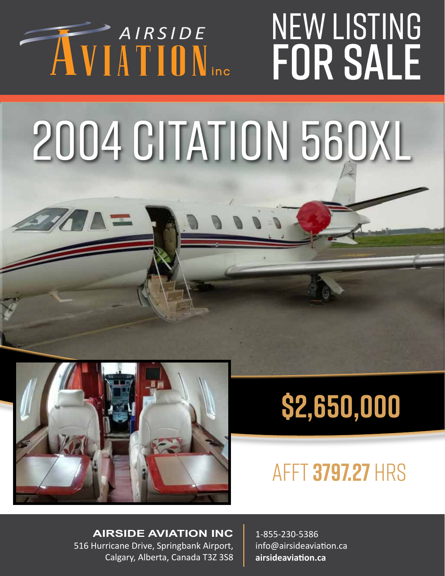#### NEW LISTING AIRSIDE INU<br>LE for sale

## 2004 CITATION 560XL



### **\$2,650,000**

#### afft **3797.27** hrs

**AIRSIDE AVIATION INC** 516 Hurricane Drive, Springbank Airport, Calgary, Alberta, Canada T3Z 3S8

1-855-230-5386 info@airsideaviation.ca **airsideaviation.ca**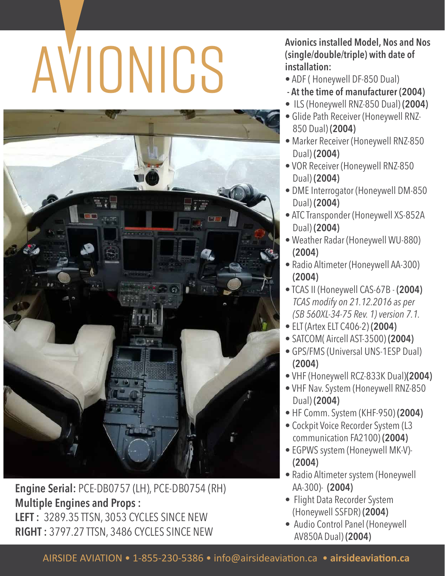# Avionics installed Model, Nos and Nos<br>
(single/double/triple) with date of<br> **ADF** (Honeywell DF-850 Dual)<br>
- At the time of manufacturer (2004)



**Engine Serial:** PCE-DB0757 (LH), PCE-DB0754 (RH) **Multiple Engines and Props : LEFT :** 3289.35 TTSN, 3053 CYCLES SINCE NEW **RIGHT :** 3797.27 TTSN, 3486 CYCLES SINCE NEW

**(single/double/triple) with date of installation:**

- ADF ( Honeywell DF-850 Dual)
- **At the time of manufacturer (2004)**
- ILS (Honeywell RNZ-850 Dual) **(2004)**
- Glide Path Receiver (Honeywell RNZ- 850 Dual) **(2004)**
- Marker Receiver (Honeywell RNZ-850 Dual) **(2004)**
- VOR Receiver (Honeywell RNZ-850 Dual) **(2004)**
- DME Interrogator (Honeywell DM-850 Dual) **(2004)**
- ATC Transponder (Honeywell XS-852A Dual) **(2004)**
- Weather Radar (Honeywell WU-880) **(2004)**
- Radio Altimeter (Honeywell AA-300) **(2004)**
- TCAS II (Honeywell CAS-67B **(2004)** *TCAS modify on 21.12.2016 as per (SB 560XL-34-75 Rev. 1) version 7.1.*
- ELT (Artex ELT C406-2) **(2004)**
- SATCOM( Aircell AST-3500) **(2004)**
- GPS/FMS (Universal UNS-1ESP Dual) **(2004)**
- VHF (Honeywell RCZ-833K Dual)**(2004)**
- VHF Nav. System (Honeywell RNZ-850 Dual) **(2004)**
- HF Comm. System (KHF-950) **(2004)**
- Cockpit Voice Recorder System (L3 communication FA2100) **(2004)**
- EGPWS system (Honeywell MK-V)- **(2004)**
- Radio Altimeter system (Honeywell AA-300)- **(2004)**
- Flight Data Recorder System (Honeywell SSFDR) **(2004)**
- Audio Control Panel (Honeywell AV850A Dual) **(2004)**